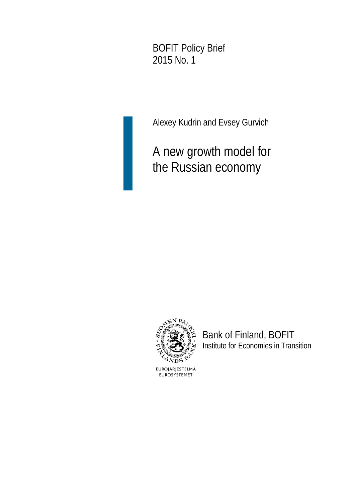BOFIT Policy Brief 2015 No. 1

Alexey Kudrin and Evsey Gurvich

A new growth model for the Russian economy



Bank of Finland, BOFIT Institute for Economies in Transition

EUROJÄRJESTELMÄ EUROSYSTEMET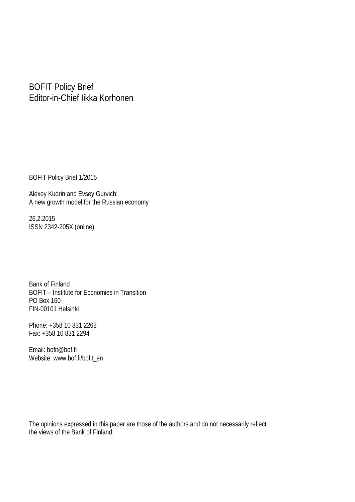#### BOFIT Policy Brief Editor-in-Chief Iikka Korhonen

BOFIT Policy Brief 1/2015

Alexey Kudrin and Evsey Gurvich: A new growth model for the Russian economy

26.2.2015 ISSN 2342-205X (online)

Bank of Finland BOFIT – Institute for Economies in Transition PO Box 160 FIN-00101 Helsinki

Phone: +358 10 831 2268 Fax: +358 10 831 2294

Email: bofit@bof.fi Website: www.bof.fi/bofit\_en

The opinions expressed in this paper are those of the authors and do not necessarily reflect the views of the Bank of Finland.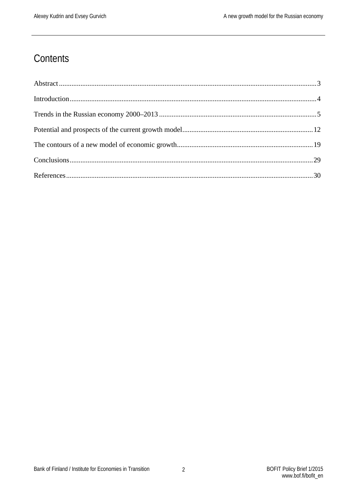### Contents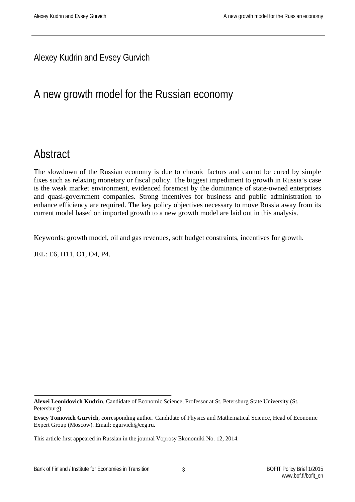#### Alexey Kudrin and Evsey Gurvich

# A new growth model for the Russian economy

## <span id="page-3-0"></span>**Abstract**

The slowdown of the Russian economy is due to chronic factors and cannot be cured by simple fixes such as relaxing monetary or fiscal policy. The biggest impediment to growth in Russia's case is the weak market environment, evidenced foremost by the dominance of state-owned enterprises and quasi-government companies. Strong incentives for business and public administration to enhance efficiency are required. The key policy objectives necessary to move Russia away from its current model based on imported growth to a new growth model are laid out in this analysis.

Keywords: growth model, oil and gas revenues, soft budget constraints, incentives for growth.

JEL: E6, H11, O1, O4, P4.

**Alexei Leonidovich Kudrin**, Candidate of Economic Science, Professor at St. Petersburg State University (St. Petersburg).

**Evsey Tomovich Gurvich**, corresponding author. Candidate of Physics and Mathematical Science, Head of Economic Expert Group (Moscow). Email: [egurvich@eeg.ru.](mailto:egurvich@eeg.ru)

This article first appeared in Russian in the journal Voprosy Ekonomiki No. 12, 2014.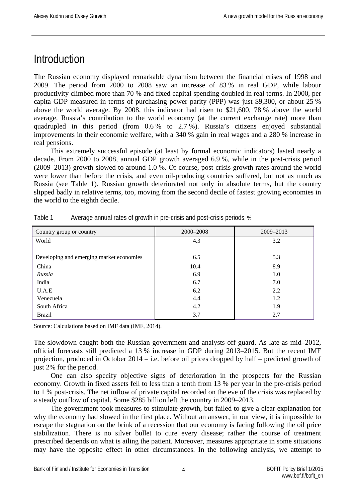### <span id="page-4-0"></span>**Introduction**

The Russian economy displayed remarkable dynamism between the financial crises of 1998 and 2009. The period from 2000 to 2008 saw an increase of 83 % in real GDP, while labour productivity climbed more than 70 % and fixed capital spending doubled in real terms. In 2000, per capita GDP measured in terms of purchasing power parity (PPP) was just \$9,300, or about 25 % above the world average. By 2008, this indicator had risen to \$21,600, 78 % above the world average. Russia's contribution to the world economy (at the current exchange rate) more than quadrupled in this period (from 0.6 % to 2.7 %). Russia's citizens enjoyed substantial improvements in their economic welfare, with a 340 % gain in real wages and a 280 % increase in real pensions.

This extremely successful episode (at least by formal economic indicators) lasted nearly a decade. From 2000 to 2008, annual GDP growth averaged 6.9 %, while in the post-crisis period (2009–2013) growth slowed to around 1.0 %. Of course, post-crisis growth rates around the world were lower than before the crisis, and even oil-producing countries suffered, but not as much as Russia (see Table 1). Russian growth deteriorated not only in absolute terms, but the country slipped badly in relative terms, too, moving from the second decile of fastest growing economies in the world to the eighth decile.

| Country group or country                 | 2000-2008 | 2009-2013 |
|------------------------------------------|-----------|-----------|
| World                                    | 4.3       | 3.2       |
|                                          |           |           |
| Developing and emerging market economies | 6.5       | 5.3       |
| China                                    | 10.4      | 8.9       |
| Russia                                   | 6.9       | 1.0       |
| India                                    | 6.7       | 7.0       |
| U.A.E                                    | 6.2       | 2.2       |
| Venezuela                                | 4.4       | 1.2       |
| South Africa                             | 4.2       | 1.9       |
| Brazil                                   | 3.7       | 2.7       |

Table 1 Average annual rates of growth in pre-crisis and post-crisis periods, %

Source: Calculations based on IMF data (IMF, 2014).

The slowdown caught both the Russian government and analysts off guard. As late as mid–2012, official forecasts still predicted a 13 % increase in GDP during 2013–2015. But the recent IMF projection, produced in October 2014 – i.e. before oil prices dropped by half – predicted growth of just 2% for the period.

One can also specify objective signs of deterioration in the prospects for the Russian economy. Growth in fixed assets fell to less than a tenth from 13 % per year in the pre-crisis period to 1 % post-crisis. The net inflow of private capital recorded on the eve of the crisis was replaced by a steady outflow of capital. Some \$285 billion left the country in 2009–2013.

The government took measures to stimulate growth, but failed to give a clear explanation for why the economy had slowed in the first place. Without an answer, in our view, it is impossible to escape the stagnation on the brink of a recession that our economy is facing following the oil price stabilization. There is no silver bullet to cure every disease; rather the course of treatment prescribed depends on what is ailing the patient. Moreover, measures appropriate in some situations may have the opposite effect in other circumstances. In the following analysis, we attempt to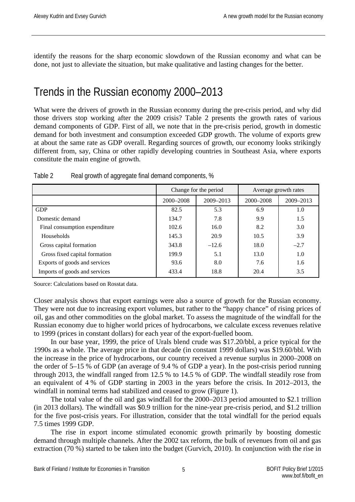identify the reasons for the sharp economic slowdown of the Russian economy and what can be done, not just to alleviate the situation, but make qualitative and lasting changes for the better.

# <span id="page-5-0"></span>Trends in the Russian economy 2000–2013

What were the drivers of growth in the Russian economy during the pre-crisis period, and why did those drivers stop working after the 2009 crisis? Table 2 presents the growth rates of various demand components of GDP. First of all, we note that in the pre-crisis period, growth in domestic demand for both investment and consumption exceeded GDP growth. The volume of exports grew at about the same rate as GDP overall. Regarding sources of growth, our economy looks strikingly different from, say, China or other rapidly developing countries in Southeast Asia, where exports constitute the main engine of growth.

|                               | Change for the period |               | Average growth rates |           |
|-------------------------------|-----------------------|---------------|----------------------|-----------|
|                               | 2000-2008             | $2009 - 2013$ | 2000-2008            | 2009-2013 |
| <b>GDP</b>                    | 82.5                  | 5.3           | 6.9                  | 1.0       |
| Domestic demand               | 134.7                 | 7.8           | 9.9                  | 1.5       |
| Final consumption expenditure | 102.6                 | 16.0          | 8.2                  | 3.0       |
| <b>Households</b>             | 145.3                 | 20.9          | 10.5                 | 3.9       |
| Gross capital formation       | 343.8                 | $-12.6$       | 18.0                 | $-2.7$    |
| Gross fixed capital formation | 199.9                 | 5.1           | 13.0                 | 1.0       |
| Exports of goods and services | 93.6                  | 8.0           | 7.6                  | 1.6       |
| Imports of goods and services | 433.4                 | 18.8          | 20.4                 | 3.5       |

| Table 2 |                                                     |  |
|---------|-----------------------------------------------------|--|
|         | Real growth of aggregate final demand components, % |  |

Source: Calculations based on Rosstat data.

Closer analysis shows that export earnings were also a source of growth for the Russian economy. They were not due to increasing export volumes, but rather to the "happy chance" of rising prices of oil, gas and other commodities on the global market. To assess the magnitude of the windfall for the Russian economy due to higher world prices of hydrocarbons, we calculate excess revenues relative to 1999 (prices in constant dollars) for each year of the export-fuelled boom.

In our base year, 1999, the price of Urals blend crude was \$17.20/bbl, a price typical for the 1990s as a whole. The average price in that decade (in constant 1999 dollars) was \$19.60/bbl. With the increase in the price of hydrocarbons, our country received a revenue surplus in 2000–2008 on the order of 5–15 % of GDP (an average of 9.4 % of GDP a year). In the post-crisis period running through 2013, the windfall ranged from 12.5 % to 14.5 % of GDP. The windfall steadily rose from an equivalent of 4 % of GDP starting in 2003 in the years before the crisis. In 2012–2013, the windfall in nominal terms had stabilized and ceased to grow (Figure 1).

The total value of the oil and gas windfall for the 2000–2013 period amounted to \$2.1 trillion (in 2013 dollars). The windfall was \$0.9 trillion for the nine-year pre-crisis period, and \$1.2 trillion for the five post-crisis years. For illustration, consider that the total windfall for the period equals 7.5 times 1999 GDP.

The rise in export income stimulated economic growth primarily by boosting domestic demand through multiple channels. After the 2002 tax reform, the bulk of revenues from oil and gas extraction (70 %) started to be taken into the budget (Gurvich, 2010). In conjunction with the rise in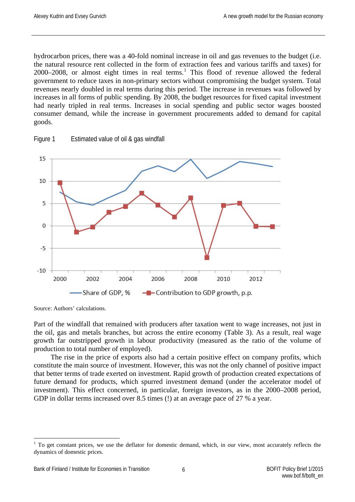hydrocarbon prices, there was a 40-fold nominal increase in oil and gas revenues to the budget (i.e. the natural resource rent collected in the form of extraction fees and various tariffs and taxes) for 2000–2008, or almost eight times in real terms. [1](#page-6-0) This flood of revenue allowed the federal government to reduce taxes in non-primary sectors without compromising the budget system. Total revenues nearly doubled in real terms during this period. The increase in revenues was followed by increases in all forms of public spending. By 2008, the budget resources for fixed capital investment had nearly tripled in real terms. Increases in social spending and public sector wages boosted consumer demand, while the increase in government procurements added to demand for capital goods.



Figure 1 Estimated value of oil & gas windfall

Source: Authors' calculations.

Part of the windfall that remained with producers after taxation went to wage increases, not just in the oil, gas and metals branches, but across the entire economy (Table 3). As a result, real wage growth far outstripped growth in labour productivity (measured as the ratio of the volume of production to total number of employed).

The rise in the price of exports also had a certain positive effect on company profits, which constitute the main source of investment. However, this was not the only channel of positive impact that better terms of trade exerted on investment. Rapid growth of production created expectations of future demand for products, which spurred investment demand (under the accelerator model of investment). This effect concerned, in particular, foreign investors, as in the 2000–2008 period, GDP in dollar terms increased over 8.5 times (!) at an average pace of 27 % a year.

<span id="page-6-0"></span> $1$  To get constant prices, we use the deflator for domestic demand, which, in our view, most accurately reflects the dynamics of domestic prices.  $\overline{a}$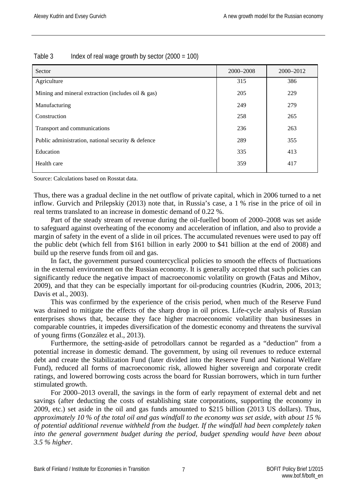| Table 3 |  | Index of real wage growth by sector $(2000 = 100)$ |
|---------|--|----------------------------------------------------|
|         |  |                                                    |

| Sector                                                | 2000-2008 | 2000-2012 |
|-------------------------------------------------------|-----------|-----------|
| Agriculture                                           | 315       | 386       |
| Mining and mineral extraction (includes oil $\&$ gas) | 205       | 229       |
| Manufacturing                                         | 249       | 279       |
| Construction                                          | 258       | 265       |
| Transport and communications                          | 236       | 263       |
| Public administration, national security & defence    | 289       | 355       |
| Education                                             | 335       | 413       |
| Health care                                           | 359       | 417       |

Source: Calculations based on Rosstat data.

Thus, there was a gradual decline in the net outflow of private capital, which in 2006 turned to a net inflow. Gurvich and Prilepskiy (2013) note that, in Russia's case, a 1 % rise in the price of oil in real terms translated to an increase in domestic demand of 0.22 %.

Part of the steady stream of revenue during the oil-fuelled boom of 2000–2008 was set aside to safeguard against overheating of the economy and acceleration of inflation, and also to provide a margin of safety in the event of a slide in oil prices. The accumulated revenues were used to pay off the public debt (which fell from \$161 billion in early 2000 to \$41 billion at the end of 2008) and build up the reserve funds from oil and gas.

In fact, the government pursued countercyclical policies to smooth the effects of fluctuations in the external environment on the Russian economy. It is generally accepted that such policies can significantly reduce the negative impact of macroeconomic volatility on growth (Fatas and Mihov, 2009), and that they can be especially important for oil-producing countries (Kudrin, 2006, 2013; Davis et al., 2003).

This was confirmed by the experience of the crisis period, when much of the Reserve Fund was drained to mitigate the effects of the sharp drop in oil prices. Life-cycle analysis of Russian enterprises shows that, because they face higher macroeconomic volatility than businesses in comparable countries, it impedes diversification of the domestic economy and threatens the survival of young firms (González et al., 2013).

Furthermore, the setting-aside of petrodollars cannot be regarded as a "deduction" from a potential increase in domestic demand. The government, by using oil revenues to reduce external debt and create the Stabilization Fund (later divided into the Reserve Fund and National Welfare Fund), reduced all forms of macroeconomic risk, allowed higher sovereign and corporate credit ratings, and lowered borrowing costs across the board for Russian borrowers, which in turn further stimulated growth.

For 2000–2013 overall, the savings in the form of early repayment of external debt and net savings (after deducting the costs of establishing state corporations, supporting the economy in 2009, etc.) set aside in the oil and gas funds amounted to \$215 billion (2013 US dollars). Thus, *approximately 10 % of the total oil and gas windfall to the economy was set aside, with about 15 % of potential additional revenue withheld from the budget. If the windfall had been completely taken into the general government budget during the period, budget spending would have been about 3.5 % higher.*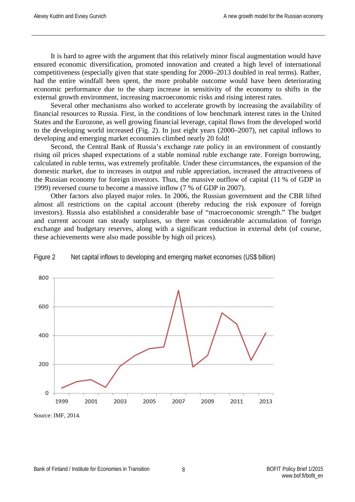It is hard to agree with the argument that this relatively minor fiscal augmentation would have ensured economic diversification, promoted innovation and created a high level of international competitiveness (especially given that state spending for 2000–2013 doubled in real terms). Rather, had the entire windfall been spent, the more probable outcome would have been deteriorating economic performance due to the sharp increase in sensitivity of the economy to shifts in the external growth environment, increasing macroeconomic risks and rising interest rates.

Several other mechanisms also worked to accelerate growth by increasing the availability of financial resources to Russia. First, in the conditions of low benchmark interest rates in the United States and the Eurozone, as well growing financial leverage, capital flows from the developed world to the developing world increased (Fig. 2). In just eight years (2000–2007), net capital inflows to developing and emerging market economies climbed nearly 20 fold!

Second, the Central Bank of Russia's exchange rate policy in an environment of constantly rising oil prices shaped expectations of a stable nominal ruble exchange rate. Foreign borrowing, calculated in ruble terms, was extremely profitable. Under these circumstances, the expansion of the domestic market, due to increases in output and ruble appreciation, increased the attractiveness of the Russian economy for foreign investors. Thus, the massive outflow of capital (11 % of GDP in 1999) reversed course to become a massive inflow (7 % of GDP in 2007).

Other factors also played major roles. In 2006, the Russian government and the CBR lifted almost all restrictions on the capital account (thereby reducing the risk exposure of foreign investors). Russia also established a considerable base of "macroeconomic strength." The budget and current account ran steady surpluses, so there was considerable accumulation of foreign exchange and budgetary reserves, along with a significant reduction in external debt (of course, these achievements were also made possible by high oil prices).



Figure 2 Net capital inflows to developing and emerging market economies (US\$ billion)

Source: IMF, 2014.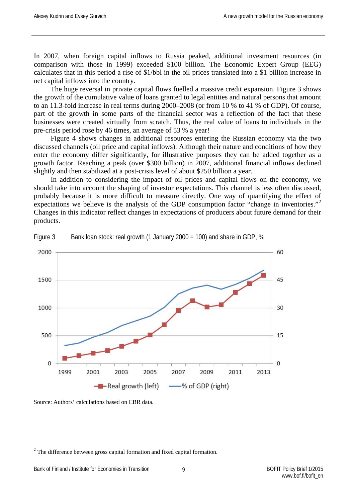In 2007, when foreign capital inflows to Russia peaked, additional investment resources (in comparison with those in 1999) exceeded \$100 billion. The Economic Expert Group (EEG) calculates that in this period a rise of \$1/bbl in the oil prices translated into a \$1 billion increase in net capital inflows into the country.

The huge reversal in private capital flows fuelled a massive credit expansion. Figure 3 shows the growth of the cumulative value of loans granted to legal entities and natural persons that amount to an 11.3-fold increase in real terms during 2000–2008 (or from 10 % to 41 % of GDP). Of course, part of the growth in some parts of the financial sector was a reflection of the fact that these businesses were created virtually from scratch. Thus, the real value of loans to individuals in the pre-crisis period rose by 46 times, an average of 53 % a year!

Figure 4 shows changes in additional resources entering the Russian economy via the two discussed channels (oil price and capital inflows). Although their nature and conditions of how they enter the economy differ significantly, for illustrative purposes they can be added together as a growth factor. Reaching a peak (over \$300 billion) in 2007, additional financial inflows declined slightly and then stabilized at a post-crisis level of about \$250 billion a year.

In addition to considering the impact of oil prices and capital flows on the economy, we should take into account the shaping of investor expectations. This channel is less often discussed, probably because it is more difficult to measure directly. One way of quantifying the effect of expectations we believe is the analysis of the GDP consumption factor "change in inventories."<sup>[2](#page-9-0)</sup> Changes in this indicator reflect changes in expectations of producers about future demand for their products.





Source: Authors' calculations based on CBR data.

<span id="page-9-0"></span><sup>&</sup>lt;sup>2</sup> The difference between gross capital formation and fixed capital formation.  $\overline{a}$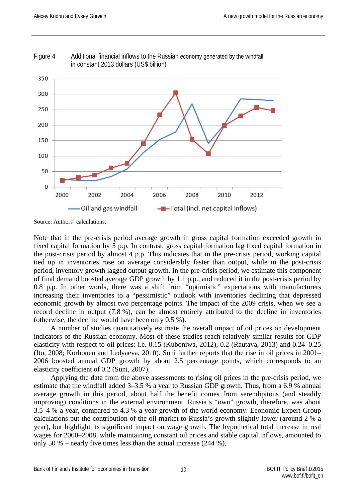

Figure 4 Additional financial inflows to the Russian economy generated by the windfall in constant 2013 dollars (US\$ billion)

Source: Authors' calculations.

Note that in the pre-crisis period average growth in gross capital formation exceeded growth in fixed capital formation by 5 p.p. In contrast, gross capital formation lag fixed capital formation in the post-crisis period by almost 4 p.p. This indicates that in the pre-crisis period, working capital tied up in inventories rose on average considerably faster than output, while in the post-crisis period, inventory growth lagged output growth. In the pre-crisis period, we estimate this component of final demand boosted average GDP growth by 1.1 p.p., and reduced it in the post-crisis period by 0.8 p.p. In other words, there was a shift from "optimistic" expectations with manufacturers increasing their inventories to a "pessimistic" outlook with inventories declining that depressed economic growth by almost two percentage points. The impact of the 2009 crisis, when we see a record decline in output (7.8 %), can be almost entirely attributed to the decline in inventories (otherwise, the decline would have been only 0.5 %).

A number of studies quantitatively estimate the overall impact of oil prices on development indicators of the Russian economy. Most of these studies reach relatively similar results for GDP elasticity with respect to oil prices: i.e. 0.15 (Kuboniwa, 2012), 0.2 (Rautava, 2013) and 0.24–0.25 (Ito, 2008; Korhonen and Ledyaeva, 2010). Suni further reports that the rise in oil prices in 2001– 2006 boosted annual GDP growth by about 2.5 percentage points, which corresponds to an elasticity coefficient of 0.2 (Suni, 2007).

Applying the data from the above assessments to rising oil prices in the pre-crisis period, we estimate that the windfall added 3–3.5 % a year to Russian GDP growth. Thus, from a 6.9 % annual average growth in this period, about half the benefit comes from serendipitous (and steadily improving) conditions in the external environment. Russia's "own" growth, therefore, was about 3.5–4 % a year, compared to 4.3 % a year growth of the world economy. Economic Expert Group calculations put the contribution of the oil market to Russia's growth slightly lower (around 2 % a year), but highlight its significant impact on wage growth. The hypothetical total increase in real wages for 2000–2008, while maintaining constant oil prices and stable capital inflows, amounted to only 50 % – nearly five times less than the actual increase (244 %).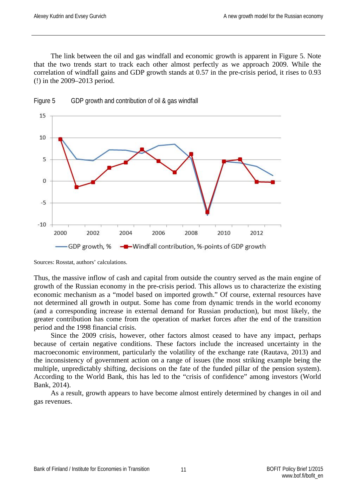The link between the oil and gas windfall and economic growth is apparent in Figure 5. Note that the two trends start to track each other almost perfectly as we approach 2009. While the correlation of windfall gains and GDP growth stands at 0.57 in the pre-crisis period, it rises to 0.93 (!) in the 2009–2013 period.



Figure 5 GDP growth and contribution of oil & gas windfall

Sources: Rosstat, authors' calculations.

Thus, the massive inflow of cash and capital from outside the country served as the main engine of growth of the Russian economy in the pre-crisis period. This allows us to characterize the existing economic mechanism as a "model based on imported growth." Of course, external resources have not determined all growth in output. Some has come from dynamic trends in the world economy (and a corresponding increase in external demand for Russian production), but most likely, the greater contribution has come from the operation of market forces after the end of the transition period and the 1998 financial crisis.

Since the 2009 crisis, however, other factors almost ceased to have any impact, perhaps because of certain negative conditions. These factors include the increased uncertainty in the macroeconomic environment, particularly the volatility of the exchange rate (Rautava, 2013) and the inconsistency of government action on a range of issues (the most striking example being the multiple, unpredictably shifting, decisions on the fate of the funded pillar of the pension system). According to the World Bank, this has led to the "crisis of confidence" among investors (World Bank, 2014).

<span id="page-11-0"></span>As a result, growth appears to have become almost entirely determined by changes in oil and gas revenues.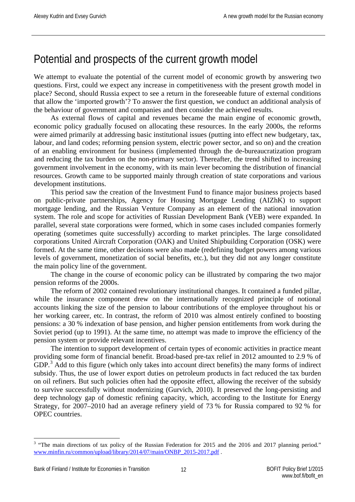## Potential and prospects of the current growth model

We attempt to evaluate the potential of the current model of economic growth by answering two questions. First, could we expect any increase in competitiveness with the present growth model in place? Second, should Russia expect to see a return in the foreseeable future of external conditions that allow the 'imported growth'? To answer the first question, we conduct an additional analysis of the behaviour of government and companies and then consider the achieved results.

As external flows of capital and revenues became the main engine of economic growth, economic policy gradually focused on allocating these resources. In the early 2000s, the reforms were aimed primarily at addressing basic institutional issues (putting into effect new budgetary, tax, labour, and land codes; reforming pension system, electric power sector, and so on) and the creation of an enabling environment for business (implemented through the de-bureaucratization program and reducing the tax burden on the non-primary sector). Thereafter, the trend shifted to increasing government involvement in the economy, with its main lever becoming the distribution of financial resources. Growth came to be supported mainly through creation of state corporations and various development institutions.

This period saw the creation of the Investment Fund to finance major business projects based on public-private partnerships, Agency for Housing Mortgage Lending (AIZhK) to support mortgage lending, and the Russian Venture Company as an element of the national innovation system. The role and scope for activities of Russian Development Bank (VEB) were expanded. In parallel, several state corporations were formed, which in some cases included companies formerly operating (sometimes quite successfully) according to market principles. The large consolidated corporations United Aircraft Corporation (OAK) and United Shipbuilding Corporation (OSK) were formed. At the same time, other decisions were also made (redefining budget powers among various levels of government, monetization of social benefits, etc.), but they did not any longer constitute the main policy line of the government.

The change in the course of economic policy can be illustrated by comparing the two major pension reforms of the 2000s.

The reform of 2002 contained revolutionary institutional changes. It contained a funded pillar, while the insurance component drew on the internationally recognized principle of notional accounts linking the size of the pension to labour contributions of the employee throughout his or her working career, etc. In contrast, the reform of 2010 was almost entirely confined to boosting pensions: a 30 % indexation of base pension, and higher pension entitlements from work during the Soviet period (up to 1991). At the same time, no attempt was made to improve the efficiency of the pension system or provide relevant incentives.

The intention to support development of certain types of economic activities in practice meant providing some form of financial benefit. Broad-based pre-tax relief in 2012 amounted to 2.9 % of GDP.<sup>[3](#page-12-0)</sup> Add to this figure (which only takes into account direct benefits) the many forms of indirect subsidy. Thus, the use of lower export duties on petroleum products in fact reduced the tax burden on oil refiners. But such policies often had the opposite effect, allowing the receiver of the subsidy to survive successfully without modernizing (Gurvich, 2010). It preserved the long-persisting and deep technology gap of domestic refining capacity, which, according to the Institute for Energy Strategy, for 2007–2010 had an average refinery yield of 73 % for Russia compared to 92 % for OPEC countries.

 $\overline{a}$ 

<span id="page-12-0"></span> $3$  "The main directions of tax policy of the Russian Federation for 2015 and the 2016 and 2017 planning period." [www.minfin.ru/common/upload/library/2014/07/main/ONBP\\_2015-2017.pdf](http://www.minfin.ru/common/upload/library/2014/07/main/ONBP_2015-2017.pdf) .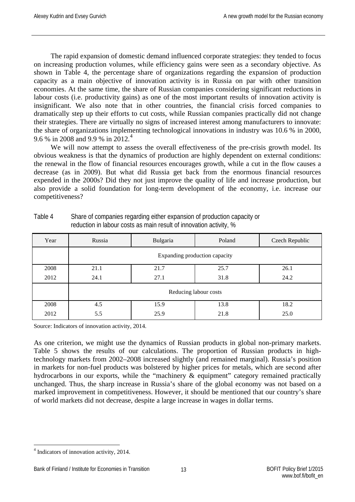The rapid expansion of domestic demand influenced corporate strategies: they tended to focus on increasing production volumes, while efficiency gains were seen as a secondary objective. As shown in Table 4, the percentage share of organizations regarding the expansion of production capacity as a main objective of innovation activity is in Russia on par with other transition economies. At the same time, the share of Russian companies considering significant reductions in labour costs (i.e. productivity gains) as one of the most important results of innovation activity is insignificant. We also note that in other countries, the financial crisis forced companies to dramatically step up their efforts to cut costs, while Russian companies practically did not change their strategies. There are virtually no signs of increased interest among manufacturers to innovate: the share of organizations implementing technological innovations in industry was 10.6 % in 2000, 9.6 % in 2008 and 9.9 % in 2012.<sup>[4](#page-13-0)</sup>

We will now attempt to assess the overall effectiveness of the pre-crisis growth model. Its obvious weakness is that the dynamics of production are highly dependent on external conditions: the renewal in the flow of financial resources encourages growth, while a cut in the flow causes a decrease (as in 2009). But what did Russia get back from the enormous financial resources expended in the 2000s? Did they not just improve the quality of life and increase production, but also provide a solid foundation for long-term development of the economy, i.e. increase our competitiveness?

| Year | Russia | Bulgaria | Poland                        | Czech Republic |
|------|--------|----------|-------------------------------|----------------|
|      |        |          | Expanding production capacity |                |
| 2008 | 21.1   | 21.7     | 25.7                          | 26.1           |
| 2012 | 24.1   | 27.1     | 31.8                          | 24.2           |
|      |        |          | Reducing labour costs         |                |
| 2008 | 4.5    | 15.9     | 13.8                          | 18.2           |
| 2012 | 5.5    | 25.9     | 21.8                          | 25.0           |

Table 4 Share of companies regarding either expansion of production capacity or reduction in labour costs as main result of innovation activity, %

Source: Indicators of innovation activity, 2014.

As one criterion, we might use the dynamics of Russian products in global non-primary markets. Table 5 shows the results of our calculations. The proportion of Russian products in hightechnology markets from 2002–2008 increased slightly (and remained marginal). Russia's position in markets for non-fuel products was bolstered by higher prices for metals, which are second after hydrocarbons in our exports, while the "machinery & equipment" category remained practically unchanged. Thus, the sharp increase in Russia's share of the global economy was not based on a marked improvement in competitiveness. However, it should be mentioned that our country's share of world markets did not decrease, despite a large increase in wages in dollar terms.

<span id="page-13-0"></span><sup>4</sup> Indicators of innovation activity, 2014.  $\overline{a}$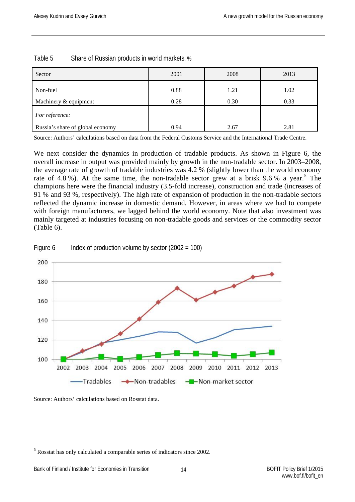| Sector                           | 2001 | 2008 | 2013 |
|----------------------------------|------|------|------|
| Non-fuel                         | 0.88 | 1.21 | 1.02 |
| Machinery & equipment            | 0.28 | 0.30 | 0.33 |
| For reference:                   |      |      |      |
| Russia's share of global economy | 0.94 | 2.67 | 2.81 |

Table 5 Share of Russian products in world markets, %

Source: Authors' calculations based on data from the Federal Customs Service and the International Trade Centre.

We next consider the dynamics in production of tradable products. As shown in Figure 6, the overall increase in output was provided mainly by growth in the non-tradable sector. In 2003–2008, the average rate of growth of tradable industries was 4.2 % (slightly lower than the world economy rate of 4.8 %). At the same time, the non-tradable sector grew at a brisk 9.6 % a year.<sup>[5](#page-14-0)</sup> The champions here were the financial industry (3.5-fold increase), construction and trade (increases of 91 % and 93 %, respectively). The high rate of expansion of production in the non-tradable sectors reflected the dynamic increase in domestic demand. However, in areas where we had to compete with foreign manufacturers, we lagged behind the world economy. Note that also investment was mainly targeted at industries focusing on non-tradable goods and services or the commodity sector (Table 6).



Figure 6 Index of production volume by sector  $(2002 = 100)$ 

Source: Authors' calculations based on Rosstat data.

<span id="page-14-0"></span><sup>5</sup> Rosstat has only calculated a comparable series of indicators since 2002.  $\overline{a}$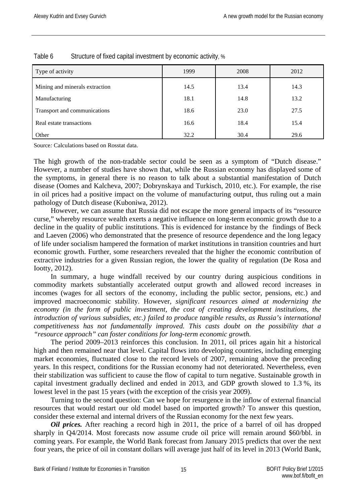| Type of activity               | 1999 | 2008 | 2012 |
|--------------------------------|------|------|------|
| Mining and minerals extraction | 14.5 | 13.4 | 14.3 |
| Manufacturing                  | 18.1 | 14.8 | 13.2 |
| Transport and communications   | 18.6 | 23.0 | 27.5 |
| Real estate transactions       | 16.6 | 18.4 | 15.4 |
| Other                          | 32.2 | 30.4 | 29.6 |

#### Table 6 Structure of fixed capital investment by economic activity, %

Source*:* Calculations based on Rosstat data.

The high growth of the non-tradable sector could be seen as a symptom of "Dutch disease." However, a number of studies have shown that, while the Russian economy has displayed some of the symptoms, in general there is no reason to talk about a substantial manifestation of Dutch disease (Oomes and Kalcheva, 2007; Dobrynskaya and Turkisch, 2010, etc.). For example, the rise in oil prices had a positive impact on the volume of manufacturing output, thus ruling out a main pathology of Dutch disease (Kuboniwa, 2012).

However, we can assume that Russia did not escape the more general impacts of its "resource curse," whereby resource wealth exerts a negative influence on long-term economic growth due to a decline in the quality of public institutions. This is evidenced for instance by the findings of Beck and Laeven (2006) who demonstrated that the presence of resource dependence and the long legacy of life under socialism hampered the formation of market institutions in transition countries and hurt economic growth. Further, some researchers revealed that the higher the economic contribution of extractive industries for a given Russian region, the lower the quality of regulation (De Rosa and Iootty, 2012).

In summary, a huge windfall received by our country during auspicious conditions in commodity markets substantially accelerated output growth and allowed record increases in incomes (wages for all sectors of the economy, including the public sector, pensions, etc.) and improved macroeconomic stability. However, *significant resources aimed at modernizing the economy (in the form of public investment, the cost of creating development institutions, the introduction of various subsidies, etc.) failed to produce tangible results, as Russia's international competitiveness has not fundamentally improved. This casts doubt on the possibility that a "resource approach" can foster conditions for long-term economic growth.*

The period 2009–2013 reinforces this conclusion. In 2011, oil prices again hit a historical high and then remained near that level. Capital flows into developing countries, including emerging market economies, fluctuated close to the record levels of 2007, remaining above the preceding years. In this respect, conditions for the Russian economy had not deteriorated. Nevertheless, even their stabilization was sufficient to cause the flow of capital to turn negative. Sustainable growth in capital investment gradually declined and ended in 2013, and GDP growth slowed to 1.3 %, its lowest level in the past 15 years (with the exception of the crisis year 2009).

Turning to the second question: Can we hope for resurgence in the inflow of external financial resources that would restart our old model based on imported growth? To answer this question, consider these external and internal drivers of the Russian economy for the next few years.

*Oil prices.* After reaching a record high in 2011, the price of a barrel of oil has dropped sharply in Q4/2014. Most forecasts now assume crude oil price will remain around \$60/bbl. in coming years. For example, the World Bank forecast from January 2015 predicts that over the next four years, the price of oil in constant dollars will average just half of its level in 2013 (World Bank,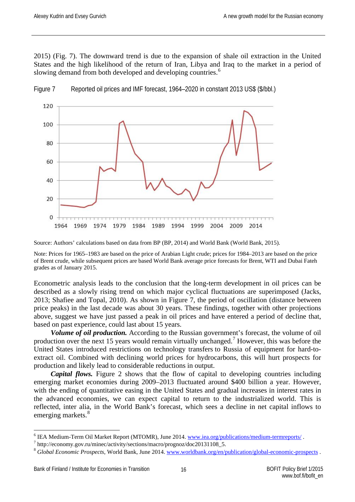2015) (Fig. 7). The downward trend is due to the expansion of shale oil extraction in the United States and the high likelihood of the return of Iran, Libya and Iraq to the market in a period of slowing demand from both developed and developing countries.<sup>[6](#page-16-0)</sup>



Figure 7 Reported oil prices and IMF forecast, 1964–2020 in constant 2013 US\$ (\$/bbl.)

Source: Authors' calculations based on data from BP (BP, 2014) and World Bank (World Bank, 2015).

Note: Prices for 1965–1983 are based on the price of Arabian Light crude; prices for 1984–2013 are based on the price of Brent crude, while subsequent prices are based World Bank average price forecasts for Brent, WTI and Dubai Fateh grades as of January 2015.

Econometric analysis leads to the conclusion that the long-term development in oil prices can be described as a slowly rising trend on which major cyclical fluctuations are superimposed (Jacks, 2013; Shafiee and Topal, 2010). As shown in Figure 7, the period of oscillation (distance between price peaks) in the last decade was about 30 years. These findings, together with other projections above, suggest we have just passed a peak in oil prices and have entered a period of decline that, based on past experience, could last about 15 years.

*Volume of oil production.* According to the Russian government's forecast, the volume of oil production over the next 15 years would remain virtually unchanged.<sup>[7](#page-16-1)</sup> However, this was before the United States introduced restrictions on technology transfers to Russia of equipment for hard-toextract oil. Combined with declining world prices for hydrocarbons, this will hurt prospects for production and likely lead to considerable reductions in output.

*Capital flows.* Figure 2 shows that the flow of capital to developing countries including emerging market economies during 2009–2013 fluctuated around \$400 billion a year. However, with the ending of quantitative easing in the United States and gradual increases in interest rates in the advanced economies, we can expect capital to return to the industrialized world. This is reflected, inter alia, in the World Bank's forecast, which sees a decline in net capital inflows to emerging markets.<sup>[8](#page-16-2)</sup>

<sup>&</sup>lt;sup>6</sup> IEA Medium-Term Oil Market Report (MTOMR), June 2014[. www.iea.org/publications/medium-termreports/](http://www.iea.org/publications/medium-termreports/).  $\overline{a}$ 

<span id="page-16-1"></span><span id="page-16-0"></span><sup>7</sup> http://economy.gov.ru/minec/activity/sections/macro/prognoz/doc20131108\_5.

<span id="page-16-2"></span><sup>8</sup> *Global Economic Prospects*, World Bank, June 2014[. www.worldbank.org/en/publication/global-economic-prospects](http://www.worldbank.org/en/publication/global-economic-prospects) .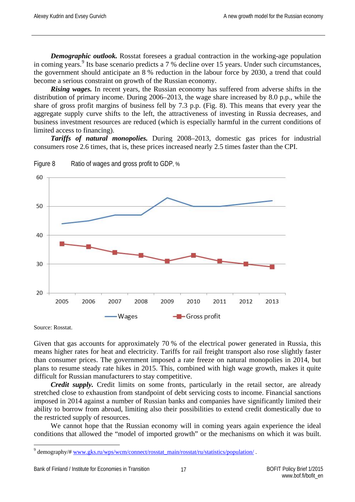*Demographic outlook.* Rosstat foresees a gradual contraction in the working-age population in coming years. <sup>[9](#page-17-0)</sup> Its base scenario predicts a 7 % decline over 15 years. Under such circumstances, the government should anticipate an 8 % reduction in the labour force by 2030, a trend that could become a serious constraint on growth of the Russian economy.

*Rising wages.* In recent years, the Russian economy has suffered from adverse shifts in the distribution of primary income. During 2006–2013, the wage share increased by 8.0 p.p., while the share of gross profit margins of business fell by 7.3 p.p. (Fig. 8). This means that every year the aggregate supply curve shifts to the left, the attractiveness of investing in Russia decreases, and business investment resources are reduced (which is especially harmful in the current conditions of limited access to financing).

*Tariffs of natural monopolies.* During 2008–2013, domestic gas prices for industrial consumers rose 2.6 times, that is, these prices increased nearly 2.5 times faster than the CPI.



Figure 8 Ratio of wages and gross profit to GDP, %

Source: Rosstat.

Given that gas accounts for approximately 70 % of the electrical power generated in Russia, this means higher rates for heat and electricity. Tariffs for rail freight transport also rose slightly faster than consumer prices. The government imposed a rate freeze on natural monopolies in 2014, but plans to resume steady rate hikes in 2015. This, combined with high wage growth, makes it quite difficult for Russian manufacturers to stay competitive.

*Credit supply.* Credit limits on some fronts, particularly in the retail sector, are already stretched close to exhaustion from standpoint of debt servicing costs to income. Financial sanctions imposed in 2014 against a number of Russian banks and companies have significantly limited their ability to borrow from abroad, limiting also their possibilities to extend credit domestically due to the restricted supply of resources.

We cannot hope that the Russian economy will in coming years again experience the ideal conditions that allowed the "model of imported growth" or the mechanisms on which it was built.

<span id="page-17-0"></span><sup>&</sup>lt;sup>9</sup> demography/[# www.gks.ru/wps/wcm/connect/rosstat\\_main/rosstat/ru/statistics/population/](http://www.gks.ru/wps/wcm/connect/rosstat_main/rosstat/ru/statistics/population/).  $\overline{a}$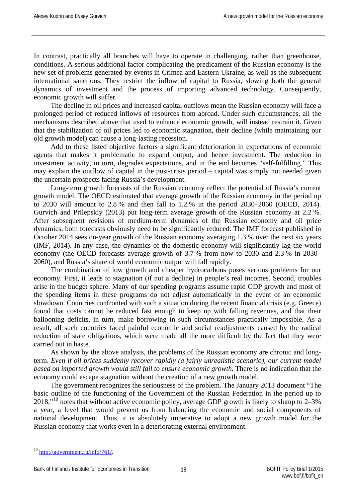In contrast, practically all branches will have to operate in challenging, rather than greenhouse, conditions. A serious additional factor complicating the predicament of the Russian economy is the new set of problems generated by events in Crimea and Eastern Ukraine, as well as the subsequent international sanctions. They restrict the inflow of capital to Russia, slowing both the general dynamics of investment and the process of importing advanced technology. Consequently, economic growth will suffer.

The decline in oil prices and increased capital outflows mean the Russian economy will face a prolonged period of reduced inflows of resources from abroad. Under such circumstances, all the mechanisms described above that used to enhance economic growth, will instead restrain it. Given that the stabilization of oil prices led to economic stagnation, their decline (while maintaining our old growth model) can cause a long-lasting recession.

Add to these listed objective factors a significant deterioration in expectations of economic agents that makes it problematic to expand output, and hence investment. The reduction in investment activity, in turn, degrades expectations, and in the end becomes "self-fulfilling." This may explain the outflow of capital in the post-crisis period – capital was simply not needed given the uncertain prospects facing Russia's development.

Long-term growth forecasts of the Russian economy reflect the potential of Russia's current growth model. The OECD estimated that average growth of the Russian economy in the period up to 2030 will amount to 2.8 % and then fall to 1.2 % in the period 2030–2060 (OECD, 2014). Gurvich and Prilepskiy (2013) put long-term average growth of the Russian economy at 2.2 %. After subsequent revisions of medium-term dynamics of the Russian economy and oil price dynamics, both forecasts obviously need to be significantly reduced. The IMF forecast published in October 2014 sees on-year growth of the Russian economy averaging 1.3 % over the next six years (IMF, 2014). In any case, the dynamics of the domestic economy will significantly lag the world economy (the OECD forecasts average growth of 3.7 % from now to 2030 and 2.3 % in 2030– 2060), and Russia's share of world economic output will fall rapidly.

The combination of low growth and cheaper hydrocarbons poses serious problems for our economy. First, it leads to stagnation (if not a decline) in people's real incomes. Second, troubles arise in the budget sphere. Many of our spending programs assume rapid GDP growth and most of the spending items in these programs do not adjust automatically in the event of an economic slowdown. Countries confronted with such a situation during the recent financial crisis (e.g. Greece) found that costs cannot be reduced fast enough to keep up with falling revenues, and that their ballooning deficits, in turn, make borrowing in such circumstances practically impossible. As a result, all such countries faced painful economic and social readjustments caused by the radical reduction of state obligations, which were made all the more difficult by the fact that they were carried out in haste.

As shown by the above analysis, the problems of the Russian economy are chronic and longterm. *Even if oil prices suddenly recover rapidly (a fairly unrealistic scenario), our current model based on imported growth would still fail to ensure economic growth.* There is no indication that the economy could escape stagnation without the creation of a new growth model.

The government recognizes the seriousness of the problem. The January 2013 document "The basic outline of the functioning of the Government of the Russian Federation in the period up to  $2018$ ,"<sup>[10](#page-18-0)</sup> notes that without active economic policy, average GDP growth is likely to slump to  $2-3\%$ a year, a level that would prevent us from balancing the economic and social components of national development. Thus, it is absolutely imperative to adopt a new growth model for the Russian economy that works even in a deteriorating external environment.

<span id="page-18-0"></span> $10$  [http://government.ru/info/761/.](http://government.ru/info/761/)  $\overline{a}$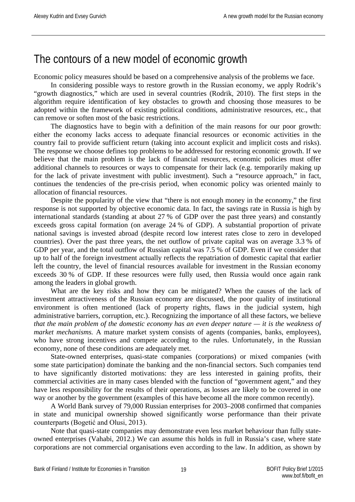### <span id="page-19-0"></span>The contours of a new model of economic growth

Economic policy measures should be based on a comprehensive analysis of the problems we face.

In considering possible ways to restore growth in the Russian economy, we apply Rodrik's "growth diagnostics," which are used in several countries (Rodrik, 2010). The first steps in the algorithm require identification of key obstacles to growth and choosing those measures to be adopted within the framework of existing political conditions, administrative resources, etc., that can remove or soften most of the basic restrictions.

The diagnostics have to begin with a definition of the main reasons for our poor growth: either the economy lacks access to adequate financial resources or economic activities in the country fail to provide sufficient return (taking into account explicit and implicit costs and risks). The response we choose defines top problems to be addressed for restoring economic growth. If we believe that the main problem is the lack of financial resources, economic policies must offer additional channels to resources or ways to compensate for their lack (e.g. temporarily making up for the lack of private investment with public investment). Such a "resource approach," in fact, continues the tendencies of the pre-crisis period, when economic policy was oriented mainly to allocation of financial resources.

Despite the popularity of the view that "there is not enough money in the economy," the first response is not supported by objective economic data. In fact, the savings rate in Russia is high by international standards (standing at about 27 % of GDP over the past three years) and constantly exceeds gross capital formation (on average 24 % of GDP). A substantial proportion of private national savings is invested abroad (despite record low interest rates close to zero in developed countries). Over the past three years, the net outflow of private capital was on average 3.3 % of GDP per year, and the total outflow of Russian capital was 7.5 % of GDP. Even if we consider that up to half of the foreign investment actually reflects the repatriation of domestic capital that earlier left the country, the level of financial resources available for investment in the Russian economy exceeds 30 % of GDP. If these resources were fully used, then Russia would once again rank among the leaders in global growth.

What are the key risks and how they can be mitigated? When the causes of the lack of investment attractiveness of the Russian economy are discussed, the poor quality of institutional environment is often mentioned (lack of property rights, flaws in the judicial system, high administrative barriers, corruption, etc.). Recognizing the importance of all these factors, we believe *that the main problem of the domestic economy has an even deeper nature — it is the weakness of market mechanisms.* A mature market system consists of agents (companies, banks, employees), who have strong incentives and compete according to the rules. Unfortunately, in the Russian economy, none of these conditions are adequately met.

State-owned enterprises, quasi-state companies (corporations) or mixed companies (with some state participation) dominate the banking and the non-financial sectors. Such companies tend to have significantly distorted motivations: they are less interested in gaining profits, their commercial activities are in many cases blended with the function of "government agent," and they have less responsibility for the results of their operations, as losses are likely to be covered in one way or another by the government (examples of this have become all the more common recently).

A World Bank survey of 79,000 Russian enterprises for 2003–2008 confirmed that companies in state and municipal ownership showed significantly worse performance than their private counterparts (Bogetić and Olusi, 2013).

Note that quasi-state companies may demonstrate even less market behaviour than fully stateowned enterprises (Vahabi, 2012.) We can assume this holds in full in Russia's case, where state corporations are not commercial organisations even according to the law. In addition, as shown by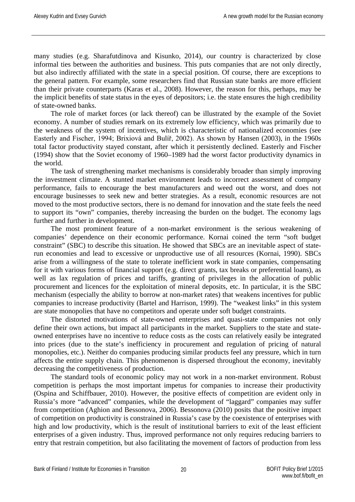many studies (e.g. Sharafutdinova and Kisunko, 2014), our country is characterized by close informal ties between the authorities and business. This puts companies that are not only directly, but also indirectly affiliated with the state in a special position. Of course, there are exceptions to the general pattern. For example, some researchers find that Russian state banks are more efficient than their private counterparts (Karas et al., 2008). However, the reason for this, perhaps, may be the implicit benefits of state status in the eyes of depositors; i.e. the state ensures the high credibility of state-owned banks.

The role of market forces (or lack thereof) can be illustrated by the example of the Soviet economy. A number of studies remark on its extremely low efficiency, which was primarily due to the weakness of the system of incentives, which is characteristic of nationalized economies (see Easterly and Fischer, 1994; Brixiová and Bulíř, 2002). As shown by Hansen (2003), in the 1960s total factor productivity stayed constant, after which it persistently declined. Easterly and Fischer (1994) show that the Soviet economy of 1960–1989 had the worst factor productivity dynamics in the world.

The task of strengthening market mechanisms is considerably broader than simply improving the investment climate. A stunted market environment leads to incorrect assessment of company performance, fails to encourage the best manufacturers and weed out the worst, and does not encourage businesses to seek new and better strategies. As a result, economic resources are not moved to the most productive sectors, there is no demand for innovation and the state feels the need to support its "own" companies, thereby increasing the burden on the budget. The economy lags further and further in development.

The most prominent feature of a non-market environment is the serious weakening of companies' dependence on their economic performance. Kornai coined the term "soft budget constraint" (SBC) to describe this situation. He showed that SBCs are an inevitable aspect of staterun economies and lead to excessive or unproductive use of all resources (Kornai, 1990). SBCs arise from a willingness of the state to tolerate inefficient work in state companies, compensating for it with various forms of financial support (e.g. direct grants, tax breaks or preferential loans), as well as lax regulation of prices and tariffs, granting of privileges in the allocation of public procurement and licences for the exploitation of mineral deposits, etc. In particular, it is the SBC mechanism (especially the ability to borrow at non-market rates) that weakens incentives for public companies to increase productivity (Bartel and Harrison, 1999). The "weakest links" in this system are state monopolies that have no competitors and operate under soft budget constraints.

The distorted motivations of state-owned enterprises and quasi-state companies not only define their own actions, but impact all participants in the market. Suppliers to the state and stateowned enterprises have no incentive to reduce costs as the costs can relatively easily be integrated into prices (due to the state's inefficiency in procurement and regulation of pricing of natural monopolies, etc.). Neither do companies producing similar products feel any pressure, which in turn affects the entire supply chain. This phenomenon is dispersed throughout the economy, inevitably decreasing the competitiveness of production.

The standard tools of economic policy may not work in a non-market environment. Robust competition is perhaps the most important impetus for companies to increase their productivity (Ospina and Schiffbauer, 2010). However, the positive effects of competition are evident only in Russia's more "advanced" companies, while the development of "laggard" companies may suffer from competition (Aghion and Bessonova, 2006). Bessonova (2010) posits that the positive impact of competition on productivity is constrained in Russia's case by the coexistence of enterprises with high and low productivity, which is the result of institutional barriers to exit of the least efficient enterprises of a given industry. Thus, improved performance not only requires reducing barriers to entry that restrain competition, but also facilitating the movement of factors of production from less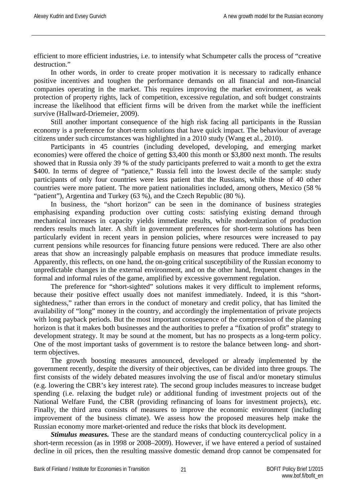efficient to more efficient industries, i.e. to intensify what Schumpeter calls the process of "creative destruction"

In other words, in order to create proper motivation it is necessary to radically enhance positive incentives and toughen the performance demands on all financial and non-financial companies operating in the market. This requires improving the market environment, as weak protection of property rights, lack of competition, excessive regulation, and soft budget constraints increase the likelihood that efficient firms will be driven from the market while the inefficient survive (Hallward-Driemeier, 2009).

Still another important consequence of the high risk facing all participants in the Russian economy is a preference for short-term solutions that have quick impact. The behaviour of average citizens under such circumstances was highlighted in a 2010 study (Wang et al., 2010).

Participants in 45 countries (including developed, developing, and emerging market economies) were offered the choice of getting \$3,400 this month or \$3,800 next month. The results showed that in Russia only 39 % of the study participants preferred to wait a month to get the extra \$400. In terms of degree of "patience," Russia fell into the lowest decile of the sample: study participants of only four countries were less patient that the Russians, while those of 40 other countries were more patient. The more patient nationalities included, among others, Mexico (58 % "patient"), Argentina and Turkey (63 %), and the Czech Republic (80 %).

In business, the "short horizon" can be seen in the dominance of business strategies emphasising expanding production over cutting costs: satisfying existing demand through mechanical increases in capacity yields immediate results, while modernization of production renders results much later. A shift in government preferences for short-term solutions has been particularly evident in recent years in pension policies, where resources were increased to pay current pensions while resources for financing future pensions were reduced. There are also other areas that show an increasingly palpable emphasis on measures that produce immediate results. Apparently, this reflects, on one hand, the on-going critical susceptibility of the Russian economy to unpredictable changes in the external environment, and on the other hand, frequent changes in the formal and informal rules of the game, amplified by excessive government regulation.

The preference for "short-sighted" solutions makes it very difficult to implement reforms, because their positive effect usually does not manifest immediately. Indeed, it is this "shortsightedness," rather than errors in the conduct of monetary and credit policy, that has limited the availability of "long" money in the country, and accordingly the implementation of private projects with long payback periods. But the most important consequence of the compression of the planning horizon is that it makes both businesses and the authorities to prefer a "fixation of profit" strategy to development strategy. It may be sound at the moment, but has no prospects as a long-term policy. One of the most important tasks of government is to restore the balance between long- and shortterm objectives.

The growth boosting measures announced, developed or already implemented by the government recently, despite the diversity of their objectives, can be divided into three groups. The first consists of the widely debated measures involving the use of fiscal and/or monetary stimulus (e.g. lowering the CBR's key interest rate). The second group includes measures to increase budget spending (i.e. relaxing the budget rule) or additional funding of investment projects out of the National Welfare Fund, the CBR (providing refinancing of loans for investment projects), etc. Finally, the third area consists of measures to improve the economic environment (including improvement of the business climate). We assess how the proposed measures help make the Russian economy more market-oriented and reduce the risks that block its development.

*Stimulus measures.* These are the standard means of conducting countercyclical policy in a short-term recession (as in 1998 or 2008–2009). However, if we have entered a period of sustained decline in oil prices, then the resulting massive domestic demand drop cannot be compensated for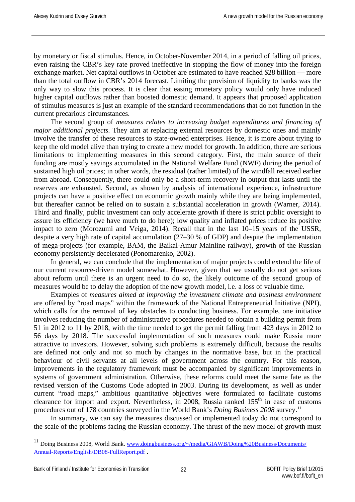by monetary or fiscal stimulus. Hence, in October-November 2014, in a period of falling oil prices, even raising the CBR's key rate proved ineffective in stopping the flow of money into the foreign exchange market. Net capital outflows in October are estimated to have reached \$28 billion — more than the total outflow in CBR's 2014 forecast. Limiting the provision of liquidity to banks was the only way to slow this process. It is clear that easing monetary policy would only have induced higher capital outflows rather than boosted domestic demand. It appears that proposed application of stimulus measures is just an example of the standard recommendations that do not function in the current precarious circumstances.

The second group of *measures relates to increasing budget expenditures and financing of major additional projects.* They aim at replacing external resources by domestic ones and mainly involve the transfer of these resources to state-owned enterprises. Hence, it is more about trying to keep the old model alive than trying to create a new model for growth. In addition, there are serious limitations to implementing measures in this second category. First, the main source of their funding are mostly savings accumulated in the National Welfare Fund (NWF) during the period of sustained high oil prices; in other words, the residual (rather limited) of the windfall received earlier from abroad. Consequently, there could only be a short-term recovery in output that lasts until the reserves are exhausted. Second, as shown by analysis of international experience, infrastructure projects can have a positive effect on economic growth mainly while they are being implemented, but thereafter cannot be relied on to sustain a substantial acceleration in growth (Warner, 2014). Third and finally, public investment can only accelerate growth if there is strict public oversight to assure its efficiency (we have much to do here); low quality and inflated prices reduce its positive impact to zero (Morozumi and Veiga, 2014). Recall that in the last 10–15 years of the USSR, despite a very high rate of capital accumulation (27–30 % of GDP) and despite the implementation of mega-projects (for example, BAM, the Baikal-Amur Mainline railway), growth of the Russian economy persistently decelerated (Ponomarenko, 2002).

In general, we can conclude that the implementation of major projects could extend the life of our current resource-driven model somewhat. However, given that we usually do not get serious about reform until there is an urgent need to do so, the likely outcome of the second group of measures would be to delay the adoption of the new growth model, i.e. a loss of valuable time.

Examples of *measures aimed at improving the investment climate and business environment* are offered by "road maps" within the framework of the National Entrepreneurial Initiative (NPI), which calls for the removal of key obstacles to conducting business. For example, one initiative involves reducing the number of administrative procedures needed to obtain a building permit from 51 in 2012 to 11 by 2018, with the time needed to get the permit falling from 423 days in 2012 to 56 days by 2018. The successful implementation of such measures could make Russia more attractive to investors. However, solving such problems is extremely difficult, because the results are defined not only and not so much by changes in the normative base, but in the practical behaviour of civil servants at all levels of government across the country. For this reason, improvements in the regulatory framework must be accompanied by significant improvements in systems of government administration. Otherwise, these reforms could meet the same fate as the revised version of the Customs Code adopted in 2003. During its development, as well as under current "road maps," ambitious quantitative objectives were formulated to facilitate customs clearance for import and export. Nevertheless, in 2008, Russia ranked  $155<sup>th</sup>$  in ease of customs procedures out of 178 countries surveyed in the World Bank's *Doing Business 2008* survey. [11](#page-22-0)

In summary, we can say the measures discussed or implemented today do not correspond to the scale of the problems facing the Russian economy. The thrust of the new model of growth must

 $\overline{a}$ 

<span id="page-22-0"></span><sup>&</sup>lt;sup>11</sup> Doing Business 2008, World Bank. [www.doingbusiness.org/~/media/GIAWB/Doing%20Business/Documents/](http://www.doingbusiness.org/%7E/media/GIAWB/Doing%20Business/Documents/Annual-Reports/English/DB08-FullReport.pdf) [Annual-Reports/English/DB08-FullReport.pdf](http://www.doingbusiness.org/%7E/media/GIAWB/Doing%20Business/Documents/Annual-Reports/English/DB08-FullReport.pdf) .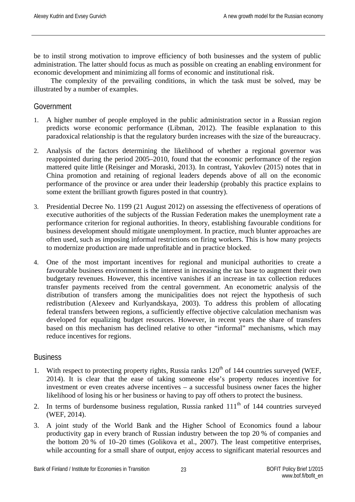be to instil strong motivation to improve efficiency of both businesses and the system of public administration. The latter should focus as much as possible on creating an enabling environment for economic development and minimizing all forms of economic and institutional risk.

The complexity of the prevailing conditions, in which the task must be solved, may be illustrated by a number of examples.

#### Government

- 1. A higher number of people employed in the public administration sector in a Russian region predicts worse economic performance (Libman, 2012). The feasible explanation to this paradoxical relationship is that the regulatory burden increases with the size of the bureaucracy.
- 2. Analysis of the factors determining the likelihood of whether a regional governor was reappointed during the period 2005–2010, found that the economic performance of the region mattered quite little (Reisinger and Moraski, 2013). In contrast, Yakovlev (2015) notes that in China promotion and retaining of regional leaders depends above of all on the economic performance of the province or area under their leadership (probably this practice explains to some extent the brilliant growth figures posted in that country).
- 3. Presidential Decree No. 1199 (21 August 2012) on assessing the effectiveness of operations of executive authorities of the subjects of the Russian Federation makes the unemployment rate a performance criterion for regional authorities. In theory, establishing favourable conditions for business development should mitigate unemployment. In practice, much blunter approaches are often used, such as imposing informal restrictions on firing workers. This is how many projects to modernize production are made unprofitable and in practice blocked.
- 4. One of the most important incentives for regional and municipal authorities to create a favourable business environment is the interest in increasing the tax base to augment their own budgetary revenues. However, this incentive vanishes if an increase in tax collection reduces transfer payments received from the central government. An econometric analysis of the distribution of transfers among the municipalities does not reject the hypothesis of such redistribution (Alexeev and Kurlyandskaya, 2003). To address this problem of allocating federal transfers between regions, a sufficiently effective objective calculation mechanism was developed for equalizing budget resources. However, in recent years the share of transfers based on this mechanism has declined relative to other "informal" mechanisms, which may reduce incentives for regions.

#### **Business**

- 1. With respect to protecting property rights, Russia ranks  $120<sup>th</sup>$  of 144 countries surveyed (WEF, 2014). It is clear that the ease of taking someone else's property reduces incentive for investment or even creates adverse incentives – a successful business owner faces the higher likelihood of losing his or her business or having to pay off others to protect the business.
- 2. In terms of burdensome business regulation, Russia ranked  $111<sup>th</sup>$  of 144 countries surveyed (WEF, 2014).
- 3. A joint study of the World Bank and the Higher School of Economics found a labour productivity gap in every branch of Russian industry between the top 20 % of companies and the bottom 20 % of 10–20 times (Golikova et al., 2007). The least competitive enterprises, while accounting for a small share of output, enjoy access to significant material resources and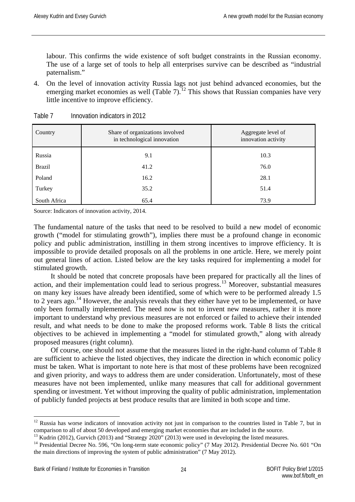labour. This confirms the wide existence of soft budget constraints in the Russian economy. The use of a large set of tools to help all enterprises survive can be described as "industrial paternalism."

4. On the level of innovation activity Russia lags not just behind advanced economies, but the emerging market economies as well (Table 7).<sup>[12](#page-24-0)</sup> This shows that Russian companies have very little incentive to improve efficiency.

| Country       | Share of organizations involved<br>in technological innovation | Aggregate level of<br>innovation activity |
|---------------|----------------------------------------------------------------|-------------------------------------------|
| Russia        | 9.1                                                            | 10.3                                      |
| <b>Brazil</b> | 41.2                                                           | 76.0                                      |
| Poland        | 16.2                                                           | 28.1                                      |
| Turkey        | 35.2                                                           | 51.4                                      |
| South Africa  | 65.4                                                           | 73.9                                      |

Table 7 Innovation indicators in 2012

Source: Indicators of innovation activity, 2014.

The fundamental nature of the tasks that need to be resolved to build a new model of economic growth ("model for stimulating growth"), implies there must be a profound change in economic policy and public administration, instilling in them strong incentives to improve efficiency. It is impossible to provide detailed proposals on all the problems in one article. Here, we merely point out general lines of action. Listed below are the key tasks required for implementing a model for stimulated growth.

It should be noted that concrete proposals have been prepared for practically all the lines of action, and their implementation could lead to serious progress.[13](#page-24-1) Moreover, substantial measures on many key issues have already been identified, some of which were to be performed already 1.5 to 2 years ago.<sup>[14](#page-24-2)</sup> However, the analysis reveals that they either have yet to be implemented, or have only been formally implemented. The need now is not to invent new measures, rather it is more important to understand why previous measures are not enforced or failed to achieve their intended result, and what needs to be done to make the proposed reforms work. Table 8 lists the critical objectives to be achieved in implementing a "model for stimulated growth," along with already proposed measures (right column).

Of course, one should not assume that the measures listed in the right-hand column of Table 8 are sufficient to achieve the listed objectives, they indicate the direction in which economic policy must be taken. What is important to note here is that most of these problems have been recognized and given priority, and ways to address them are under consideration. Unfortunately, most of these measures have not been implemented, unlike many measures that call for additional government spending or investment. Yet without improving the quality of public administration, implementation of publicly funded projects at best produce results that are limited in both scope and time.

<span id="page-24-0"></span> $12$  Russia has worse indicators of innovation activity not just in comparison to the countries listed in Table 7, but in comparison to all of about 50 developed and emerging market economies that are included in the source.  $\overline{a}$ 

<span id="page-24-2"></span><span id="page-24-1"></span><sup>&</sup>lt;sup>13</sup> Kudrin (2012), Gurvich (2013) and "Strategy 2020" (2013) were used in developing the listed measures.<br><sup>14</sup> Presidential Decree No. 596, "On long-term state economic policy" (7 May 2012). Presidential Decree No. 601 " the main directions of improving the system of public administration" (7 May 2012).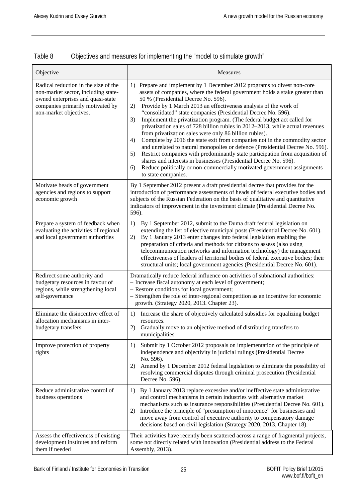| Table 8 | Objectives and measures for implementing the "model to stimulate growth" |  |  |
|---------|--------------------------------------------------------------------------|--|--|
|         |                                                                          |  |  |

| Objective                                                                                                                                                                      | Measures                                                                                                                                                                                                                                                                                                                                                                                                                                                                                                                                                                                                                                                                                                                                                                                                                                                                                                                                                                                                       |
|--------------------------------------------------------------------------------------------------------------------------------------------------------------------------------|----------------------------------------------------------------------------------------------------------------------------------------------------------------------------------------------------------------------------------------------------------------------------------------------------------------------------------------------------------------------------------------------------------------------------------------------------------------------------------------------------------------------------------------------------------------------------------------------------------------------------------------------------------------------------------------------------------------------------------------------------------------------------------------------------------------------------------------------------------------------------------------------------------------------------------------------------------------------------------------------------------------|
| Radical reduction in the size of the<br>non-market sector, including state-<br>owned enterprises and quasi-state<br>companies primarily motivated by<br>non-market objectives. | 1) Prepare and implement by 1 December 2012 programs to divest non-core<br>assets of companies, where the federal government holds a stake greater than<br>50 % (Presidential Decree No. 596).<br>Provide by 1 March 2013 an effectiveness analysis of the work of<br>2)<br>"consolidated" state companies (Presidential Decree No. 596).<br>Implement the privatization program. (The federal budget act called for<br>3)<br>privatization sales of 728 billion rubles in 2012-2013, while actual revenues<br>from privatization sales were only 86 billion rubles).<br>Complete by 2016 the state exit from companies not in the commodity sector<br>4)<br>and unrelated to natural monopolies or defence (Presidential Decree No. 596).<br>Restrict companies with predominantly state participation from acquisition of<br>5)<br>shares and interests in businesses (Presidential Decree No. 596).<br>Reduce politically or non-commercially motivated government assignments<br>6)<br>to state companies. |
| Motivate heads of government<br>agencies and regions to support<br>economic growth                                                                                             | By 1 September 2012 present a draft presidential decree that provides for the<br>introduction of performance assessments of heads of federal executive bodies and<br>subjects of the Russian Federation on the basis of qualitative and quantitative<br>indicators of improvement in the investment climate (Presidential Decree No.<br>596).                                                                                                                                                                                                                                                                                                                                                                                                                                                                                                                                                                                                                                                                  |
| Prepare a system of feedback when<br>evaluating the activities of regional<br>and local government authorities                                                                 | By 1 September 2012, submit to the Duma draft federal legislation on<br>1)<br>extending the list of elective municipal posts (Presidential Decree No. 601).<br>By 1 January 2013 enter changes into federal legislation enabling the<br>2)<br>preparation of criteria and methods for citizens to assess (also using<br>telecommunication networks and information technology) the management<br>effectiveness of leaders of territorial bodies of federal executive bodies; their<br>structural units; local government agencies (Presidential Decree No. 601).                                                                                                                                                                                                                                                                                                                                                                                                                                               |
| Redirect some authority and<br>budgetary resources in favour of<br>regions, while strengthening local<br>self-governance                                                       | Dramatically reduce federal influence on activities of subnational authorities:<br>- Increase fiscal autonomy at each level of government;<br>- Restore conditions for local government;<br>- Strengthen the role of inter-regional competition as an incentive for economic<br>growth. (Strategy 2020, 2013. Chapter 23).                                                                                                                                                                                                                                                                                                                                                                                                                                                                                                                                                                                                                                                                                     |
| Eliminate the disincentive effect of<br>allocation mechanisms in inter-<br>budgetary transfers                                                                                 | 1) Increase the share of objectively calculated subsidies for equalizing budget<br>resources.<br>2)<br>Gradually move to an objective method of distributing transfers to<br>municipalities.                                                                                                                                                                                                                                                                                                                                                                                                                                                                                                                                                                                                                                                                                                                                                                                                                   |
| Improve protection of property<br>rights                                                                                                                                       | Submit by 1 October 2012 proposals on implementation of the principle of<br>1)<br>independence and objectivity in judicial rulings (Presidential Decree<br>No. 596).<br>Amend by 1 December 2012 federal legislation to eliminate the possibility of<br>2)<br>resolving commercial disputes through criminal prosecution (Presidential<br>Decree No. 596).                                                                                                                                                                                                                                                                                                                                                                                                                                                                                                                                                                                                                                                     |
| Reduce administrative control of<br>business operations                                                                                                                        | By 1 January 2013 replace excessive and/or ineffective state administrative<br>1)<br>and control mechanisms in certain industries with alternative market<br>mechanisms such as insurance responsibilities (Presidential Decree No. 601).<br>Introduce the principle of "presumption of innocence" for businesses and<br>2)<br>move away from control of executive authority to compensatory damage<br>decisions based on civil legislation (Strategy 2020, 2013, Chapter 18).                                                                                                                                                                                                                                                                                                                                                                                                                                                                                                                                 |
| Assess the effectiveness of existing<br>development institutes and reform<br>them if needed                                                                                    | Their activities have recently been scattered across a range of fragmental projects,<br>some not directly related with innovation (Presidential address to the Federal<br>Assembly, 2013).                                                                                                                                                                                                                                                                                                                                                                                                                                                                                                                                                                                                                                                                                                                                                                                                                     |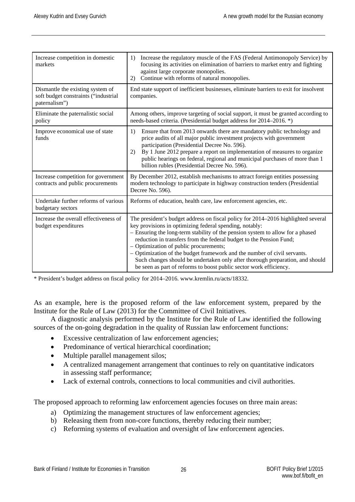| Increase competition in domestic<br>markets                                               | Increase the regulatory muscle of the FAS (Federal Antimonopoly Service) by<br>1)<br>focusing its activities on elimination of barriers to market entry and fighting<br>against large corporate monopolies.<br>Continue with reforms of natural monopolies.<br>2)                                                                                                                                                                                                                                                                                                                  |
|-------------------------------------------------------------------------------------------|------------------------------------------------------------------------------------------------------------------------------------------------------------------------------------------------------------------------------------------------------------------------------------------------------------------------------------------------------------------------------------------------------------------------------------------------------------------------------------------------------------------------------------------------------------------------------------|
| Dismantle the existing system of<br>soft budget constraints ("industrial<br>paternalism") | End state support of inefficient businesses, eliminate barriers to exit for insolvent<br>companies.                                                                                                                                                                                                                                                                                                                                                                                                                                                                                |
| Eliminate the paternalistic social<br>policy                                              | Among others, improve targeting of social support, it must be granted according to<br>needs-based criteria. (Presidential budget address for 2014–2016. *)                                                                                                                                                                                                                                                                                                                                                                                                                         |
| Improve economical use of state<br>funds                                                  | 1)<br>Ensure that from 2013 onwards there are mandatory public technology and<br>price audits of all major public investment projects with government<br>participation (Presidential Decree No. 596).<br>By 1 June 2012 prepare a report on implementation of measures to organize<br>2)<br>public hearings on federal, regional and municipal purchases of more than 1<br>billion rubles (Presidential Decree No. 596).                                                                                                                                                           |
| Increase competition for government<br>contracts and public procurements                  | By December 2012, establish mechanisms to attract foreign entities possessing<br>modern technology to participate in highway construction tenders (Presidential<br>Decree No. 596).                                                                                                                                                                                                                                                                                                                                                                                                |
| Undertake further reforms of various<br>budgetary sectors                                 | Reforms of education, health care, law enforcement agencies, etc.                                                                                                                                                                                                                                                                                                                                                                                                                                                                                                                  |
| Increase the overall effectiveness of<br>budget expenditures                              | The president's budget address on fiscal policy for 2014–2016 highlighted several<br>key provisions in optimizing federal spending, notably:<br>- Ensuring the long-term stability of the pension system to allow for a phased<br>reduction in transfers from the federal budget to the Pension Fund;<br>- Optimization of public procurements;<br>- Optimization of the budget framework and the number of civil servants.<br>Such changes should be undertaken only after thorough preparation, and should<br>be seen as part of reforms to boost public sector work efficiency. |

\* President's budget address on fiscal policy for 2014–2016. www.kremlin.ru/acts/18332.

As an example, here is the proposed reform of the law enforcement system, prepared by the Institute for the Rule of Law (2013) for the Committee of Civil Initiatives.

A diagnostic analysis performed by the Institute for the Rule of Law identified the following sources of the on-going degradation in the quality of Russian law enforcement functions:

- Excessive centralization of law enforcement agencies;
- Predominance of vertical hierarchical coordination;
- Multiple parallel management silos;
- A centralized management arrangement that continues to rely on quantitative indicators in assessing staff performance;
- Lack of external controls, connections to local communities and civil authorities.

The proposed approach to reforming law enforcement agencies focuses on three main areas:

- a) Optimizing the management structures of law enforcement agencies;
- b) Releasing them from non-core functions, thereby reducing their number;
- c) Reforming systems of evaluation and oversight of law enforcement agencies.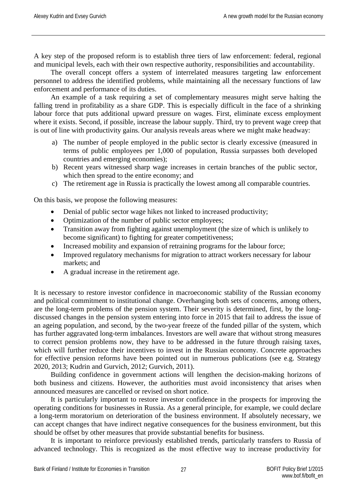A key step of the proposed reform is to establish three tiers of law enforcement: federal, regional and municipal levels, each with their own respective authority, responsibilities and accountability.

The overall concept offers a system of interrelated measures targeting law enforcement personnel to address the identified problems, while maintaining all the necessary functions of law enforcement and performance of its duties.

An example of a task requiring a set of complementary measures might serve halting the falling trend in profitability as a share GDP. This is especially difficult in the face of a shrinking labour force that puts additional upward pressure on wages. First, eliminate excess employment where it exists. Second, if possible, increase the labour supply. Third, try to prevent wage creep that is out of line with productivity gains. Our analysis reveals areas where we might make headway:

- a) The number of people employed in the public sector is clearly excessive (measured in terms of public employees per 1,000 of population, Russia surpasses both developed countries and emerging economies);
- b) Recent years witnessed sharp wage increases in certain branches of the public sector, which then spread to the entire economy; and
- c) The retirement age in Russia is practically the lowest among all comparable countries.

On this basis, we propose the following measures:

- Denial of public sector wage hikes not linked to increased productivity;
- Optimization of the number of public sector employees;
- Transition away from fighting against unemployment (the size of which is unlikely to become significant) to fighting for greater competitiveness;
- Increased mobility and expansion of retraining programs for the labour force;
- Improved regulatory mechanisms for migration to attract workers necessary for labour markets; and
- A gradual increase in the retirement age.

It is necessary to restore investor confidence in macroeconomic stability of the Russian economy and political commitment to institutional change. Overhanging both sets of concerns, among others, are the long-term problems of the pension system. Their severity is determined, first, by the longdiscussed changes in the pension system entering into force in 2015 that fail to address the issue of an ageing population, and second, by the two-year freeze of the funded pillar of the system, which has further aggravated long-term imbalances. Investors are well aware that without strong measures to correct pension problems now, they have to be addressed in the future through raising taxes, which will further reduce their incentives to invest in the Russian economy. Concrete approaches for effective pension reforms have been pointed out in numerous publications (see e.g. Strategy 2020, 2013; Kudrin and Gurvich, 2012; Gurvich, 2011).

Building confidence in government actions will lengthen the decision-making horizons of both business and citizens. However, the authorities must avoid inconsistency that arises when announced measures are cancelled or revised on short notice.

It is particularly important to restore investor confidence in the prospects for improving the operating conditions for businesses in Russia. As a general principle, for example, we could declare a long-term moratorium on deterioration of the business environment. If absolutely necessary, we can accept changes that have indirect negative consequences for the business environment, but this should be offset by other measures that provide substantial benefits for business.

It is important to reinforce previously established trends, particularly transfers to Russia of advanced technology. This is recognized as the most effective way to increase productivity for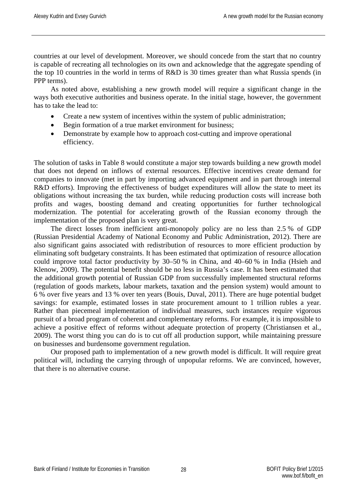countries at our level of development. Moreover, we should concede from the start that no country is capable of recreating all technologies on its own and acknowledge that the aggregate spending of the top 10 countries in the world in terms of R&D is 30 times greater than what Russia spends (in PPP terms).

As noted above, establishing a new growth model will require a significant change in the ways both executive authorities and business operate. In the initial stage, however, the government has to take the lead to:

- Create a new system of incentives within the system of public administration;
- Begin formation of a true market environment for business;
- Demonstrate by example how to approach cost-cutting and improve operational efficiency.

The solution of tasks in Table 8 would constitute a major step towards building a new growth model that does not depend on inflows of external resources. Effective incentives create demand for companies to innovate (met in part by importing advanced equipment and in part through internal R&D efforts). Improving the effectiveness of budget expenditures will allow the state to meet its obligations without increasing the tax burden, while reducing production costs will increase both profits and wages, boosting demand and creating opportunities for further technological modernization. The potential for accelerating growth of the Russian economy through the implementation of the proposed plan is very great.

The direct losses from inefficient anti-monopoly policy are no less than 2.5 % of GDP (Russian Presidential Academy of National Economy and Public Administration, 2012). There are also significant gains associated with redistribution of resources to more efficient production by eliminating soft budgetary constraints. It has been estimated that optimization of resource allocation could improve total factor productivity by 30–50 % in China, and 40–60 % in India (Hsieh and Klenow, 2009). The potential benefit should be no less in Russia's case. It has been estimated that the additional growth potential of Russian GDP from successfully implemented structural reforms (regulation of goods markets, labour markets, taxation and the pension system) would amount to 6 % over five years and 13 % over ten years (Bouis, Duval, 2011). There are huge potential budget savings: for example, estimated losses in state procurement amount to 1 trillion rubles a year. Rather than piecemeal implementation of individual measures, such instances require vigorous pursuit of a broad program of coherent and complementary reforms. For example, it is impossible to achieve a positive effect of reforms without adequate protection of property (Christiansen et al., 2009). The worst thing you can do is to cut off all production support, while maintaining pressure on businesses and burdensome government regulation.

Our proposed path to implementation of a new growth model is difficult. It will require great political will, including the carrying through of unpopular reforms. We are convinced, however, that there is no alternative course.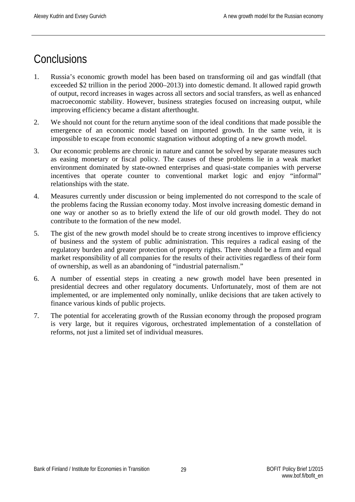# <span id="page-29-0"></span>**Conclusions**

- 1. Russia's economic growth model has been based on transforming oil and gas windfall (that exceeded \$2 trillion in the period 2000–2013) into domestic demand. It allowed rapid growth of output, record increases in wages across all sectors and social transfers, as well as enhanced macroeconomic stability. However, business strategies focused on increasing output, while improving efficiency became a distant afterthought.
- 2. We should not count for the return anytime soon of the ideal conditions that made possible the emergence of an economic model based on imported growth. In the same vein, it is impossible to escape from economic stagnation without adopting of a new growth model.
- 3. Our economic problems are chronic in nature and cannot be solved by separate measures such as easing monetary or fiscal policy. The causes of these problems lie in a weak market environment dominated by state-owned enterprises and quasi-state companies with perverse incentives that operate counter to conventional market logic and enjoy "informal" relationships with the state.
- 4. Measures currently under discussion or being implemented do not correspond to the scale of the problems facing the Russian economy today. Most involve increasing domestic demand in one way or another so as to briefly extend the life of our old growth model. They do not contribute to the formation of the new model.
- 5. The gist of the new growth model should be to create strong incentives to improve efficiency of business and the system of public administration. This requires a radical easing of the regulatory burden and greater protection of property rights. There should be a firm and equal market responsibility of all companies for the results of their activities regardless of their form of ownership, as well as an abandoning of "industrial paternalism."
- 6. A number of essential steps in creating a new growth model have been presented in presidential decrees and other regulatory documents. Unfortunately, most of them are not implemented, or are implemented only nominally, unlike decisions that are taken actively to finance various kinds of public projects.
- 7. The potential for accelerating growth of the Russian economy through the proposed program is very large, but it requires vigorous, orchestrated implementation of a constellation of reforms, not just a limited set of individual measures.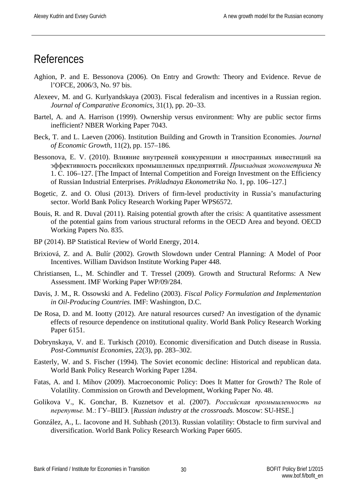#### <span id="page-30-0"></span>References

- Aghion, P. and E. Bessonova (2006). On Entry and Growth: Theory and Evidence. Revue de l'OFCE, 2006/3, No. 97 bis.
- Alexeev, M. and G. Kurlyandskaya (2003). Fiscal federalism and incentives in a Russian region. *Journal of Comparative Economics*, 31(1), pp. 20–33.
- Bartel, A. and A. Harrison (1999). Ownership versus environment: Why are public sector firms inefficient? NBER Working Paper 7043.
- Beck, T. and L. Laeven (2006). Institution Building and Growth in Transition Economies. *Journal of Economic Growth*, 11(2), pp. 157–186.
- Bessonova, E. V. (2010). Влияние внутренней конкуренции и иностранных инвестиций на эффективность российских промышленных предприятий. *Прикладная эконометрика* № 1. С. 106–127. [The Impact of Internal Competition and Foreign Investment on the Efficiency of Russian Industrial Enterprises. *Prikladnaya Ekonometrika* No. 1, pp. 106–127.]
- Bogetic, Z. and O. Olusi (2013). Drivers of firm-level productivity in Russia's manufacturing sector. World Bank Policy Research Working Paper WPS6572.
- Bouis, R. and R. Duval (2011). Raising potential growth after the crisis: A quantitative assessment of the potential gains from various structural reforms in the OECD Area and beyond. OECD Working Papers No. 835.
- BP (2014). BP Statistical Review of World Energy, 2014.
- Brixiová, Z. and A. Bulír (2002). Growth Slowdown under Central Planning: A Model of Poor Incentives. William Davidson Institute Working Paper 448.
- Christiansen, L., M. Schindler and T. Tressel (2009). Growth and Structural Reforms: A New Assessment. IMF Working Paper WP/09/284.
- Davis, J. M., R. Ossowski and A. Fedelino (2003). *Fiscal Policy Formulation and Implementation in Oil-Producing Countries.* IMF: Washington, D.C.
- De Rosa, D. and M. Iootty (2012). Are natural resources cursed? An investigation of the dynamic effects of resource dependence on institutional quality. World Bank Policy Research Working Paper 6151.
- Dobrynskaya, V. and E. Turkisch (2010). Economic diversification and Dutch disease in Russia. *Post-Communist Economies*, 22(3), pp. 283–302.
- Easterly, W. and S. Fischer (1994). The Soviet economic decline: Historical and republican data. World Bank Policy Research Working Paper 1284.
- Fatas, A. and I. Mihov (2009). Macroeconomic Policy: Does It Matter for Growth? The Role of Volatility. Commission on Growth and Development, Working Paper No. 48.
- Golikova V., K. Gonchar, B. Kuznetsov et al. (2007). *Российская промышленность на перепутье.* М.: ГУ–ВШЭ. [*Russian industry at the crossroads.* Moscow: SU-HSE.]
- González, A., L. Iacovone and H. Subhash (2013). Russian volatility: Obstacle to firm survival and diversification. World Bank Policy Research Working Paper 6605.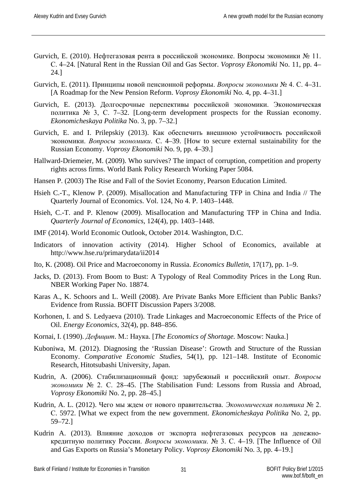- Gurvich, E. (2010). Нефтегазовая рента в российской экономике. Вопросы экономики № 11. С. 4–24. [Natural Rent in the Russian Oil and Gas Sector. *Voprosy Ekonomiki* No. 11, pp. 4– 24.]
- Gurvich, E. (2011). Принципы новой пенсионной реформы. *Вопросы экономики* № 4. С. 4–31. [A Roadmap for the New Pension Reform. *Voprosy Ekonomiki* No. 4, pp. 4–31.]
- Gurvich, E. (2013). Долгосрочные перспективы российской экономики. Экономическая политика № 3, С. 7–32. [Long-term development prospects for the Russian economy. *Ekonomicheskaya Politika* No. 3, pp. 7–32.]
- Gurvich, E. and I. Prilepskiy (2013). Как обеспечить внешнюю устойчивость российской экономики. *Вопросы экономики*. С. 4–39. [How to secure external sustainability for the Russian Economy. *Voprosy Ekonomiki* No. 9, pp. 4–39.]
- Hallward-Driemeier, M. (2009). Who survives? The impact of corruption, competition and property rights across firms. World Bank Policy Research Working Paper 5084.
- Hansen P. (2003) The Rise and Fall of the Soviet Economy, Pearson Education Limited.
- [Hsieh](http://qje.oxfordjournals.org/search?author1=Chang-Tai+Hsieh&sortspec=date&submit=Submit) C.-T., [Klenow](http://qje.oxfordjournals.org/search?author1=Peter+J.+Klenow&sortspec=date&submit=Submit) P. (2009). Misallocation and Manufacturing TFP in China and India // The Quarterly Journal of Economics. Vol. 124, No 4. P. 1403–1448.
- Hsieh, C.-T. and P. Klenow (2009). Misallocation and Manufacturing TFP in China and India. *Quarterly Journal of Economics*, 124(4), pp. 1403–1448.
- IMF (2014). World Economic Outlook, October 2014. Washington, D.C.
- Indicators of innovation activity (2014). Higher School of Economics, available at http://www.hse.ru/primarydata/ii2014
- Ito, K. (2008). Oil Price and Macroeconomy in Russia. *Economics Bulletin*, 17(17), pp. 1–9.
- Jacks, D. (2013). From Boom to Bust: A Typology of Real Commodity Prices in the Long Run. NBER Working Paper No. 18874.
- Karas A., K. Schoors and L. Weill (2008). Are Private Banks More Efficient than Public Banks? Evidence from Russia. BOFIT Discussion Papers 3/2008.
- Korhonen, I. and S. Ledyaeva (2010). Trade Linkages and Macroeconomic Effects of the Price of Oil. *Energy Economics*, 32(4), pp. 848–856.
- Kornai, I. (1990). *Дефицит*. М.: Наука. [*The Economics of Shortage.* Moscow: Nauka.]
- Kuboniwa, M. (2012). Diagnosing the 'Russian Disease': Growth and Structure of the Russian Economy. *Comparative Economic Studies*, 54(1), pp. 121–148. Institute of Economic Research, Hitotsubashi University, Japan.
- Kudrin, A. (2006). Стабилизационный фонд: зарубежный и российский опыт. *Вопросы экономики* № 2. С. 28–45. [The Stabilisation Fund: Lessons from Russia and Abroad, *Voprosy Ekonomiki* No. 2, pp. 28–45.]
- Kudrin, A. L. (2012). Чего мы ждем от нового правительства. *Экономическая политика* № 2. С. 5972. [What we expect from the new government. *Ekonomicheskaya Politika* No. 2, pp. 59–72.]
- Kudrin A. (2013). Влияние доходов от экспорта нефтегазовых ресурсов на денежнокредитную политику России. *Вопросы экономики*. № 3. С. 4–19. [The Influence of Oil and Gas Exports on Russia's Monetary Policy. *Voprosy Ekonomiki* No. 3, pp. 4–19.]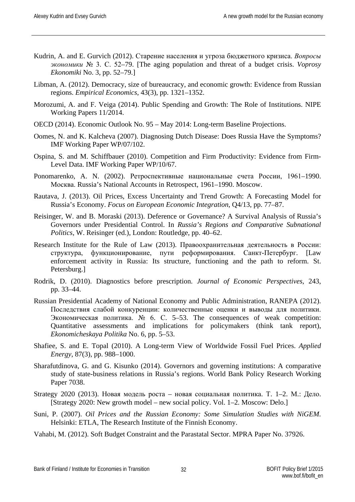- Kudrin, A. and E. Gurvich (2012). Старение населения и угроза бюджетного кризиса. *Вопросы экономики* № 3. С. 52–79. [The aging population and threat of a budget crisis. *Voprosy Ekonomiki* No. 3, pp. 52–79.]
- Libman, A. (2012). Democracy, size of bureaucracy, and economic growth: Evidence from Russian regions. *Empirical Economics*, 43(3), pp. 1321–1352.
- Morozumi, A. and F. Veiga (2014). Public Spending and Growth: The Role of Institutions. NIPE Working Papers 11/2014.
- OECD (2014). Economic Outlook No. 95 May 2014: Long-term Baseline Projections.
- Oomes, N. and K. Kalcheva (2007). Diagnosing Dutch Disease: Does Russia Have the Symptoms? IMF Working Paper WP/07/102.
- Ospina, S. and M. Schiffbauer (2010). Competition and Firm Productivity: Evidence from Firm-Level Data. IMF Working Paper WP/10/67.
- Ponomarenko, A. N. (2002). Ретроспективные национальные счета России, 1961–1990. Москва. Russia's National Accounts in Retrospect, 1961–1990. Moscow.
- Rautava, J. (2013). Oil Prices, Excess Uncertainty and Trend Growth: A Forecasting Model for Russia's Economy. *Focus on European Economic Integration*, Q4/13, pp. 77–87.
- Reisinger, W. and B. Moraski (2013). Deference or Governance? A Survival Analysis of Russia's Governors under Presidential Control. In *Russia's Regions and Comparative Subnational Politics*, W. Reisinger (ed.), London: Routledge, pp. 40–62.
- Research Institute for the Rule of Law (2013). Правоохранительная деятельность в России: структура, функционирование, пути реформирования. Санкт-Петербург. [Law enforcement activity in Russia: Its structure, functioning and the path to reform. St. Petersburg.]
- Rodrik, D. (2010). Diagnostics before prescription. *Journal of Economic Perspectives*, 243, pp. 33–44.
- Russian Presidential Academy of National Economy and Public Administration, RANEPA (2012). Последствия слабой конкуренции: количественные оценки и выводы для политики. Экономическая политика. № 6. С. 5–53. The consequences of weak competition: Quantitative assessments and implications for policymakers (think tank report), *Ekonomicheskaya Politika* No. 6, pp. 5–53.
- Shafiee, S. and E. Topal (2010). A Long-term View of Worldwide Fossil Fuel Prices. *Applied Energy*, 87(3), pp. 988–1000.
- Sharafutdinova, G. and G. Kisunko (2014). Governors and governing institutions: A comparative study of state-business relations in Russia's regions. World Bank Policy Research Working Paper 7038.
- Strategy 2020 (2013). Новая модель роста новая социальная политика. Т. 1–2. М.: Дело. [Strategy 2020: New growth model – new social policy. Vol. 1–2. Moscow: Delo.]
- Suni, P. (2007). *Oil Prices and the Russian Economy: Some Simulation Studies with NiGEM.* Helsinki: ETLA, The Research Institute of the Finnish Economy.
- Vahabi, M. (2012). Soft Budget Constraint and the Parastatal Sector. MPRA Paper No. 37926.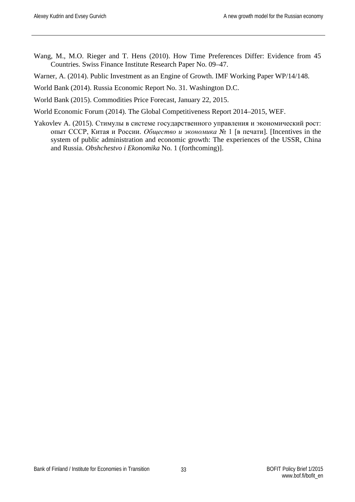Wang, M., M.O. Rieger and T. Hens (2010). How Time Preferences Differ: Evidence from 45 Countries. Swiss Finance Institute Research Paper No. 09–47.

Warner, A. (2014). Public Investment as an Engine of Growth. IMF Working Paper WP/14/148.

World Bank (2014). Russia Economic Report No. 31. Washington D.C.

World Bank (2015). Commodities Price Forecast, January 22, 2015.

World Economic Forum (2014). The Global Competitiveness Report 2014–2015, WEF.

Yakovlev A. (2015). Стимулы в системе государственного управления и экономический рост: опыт СССР, Китая и России. *Общество и экономика* № 1 [в печати]*.* [Incentives in the system of public administration and economic growth: The experiences of the USSR, China and Russia. *Obshchestvo i Ekonomika* No. 1 (forthcoming)].